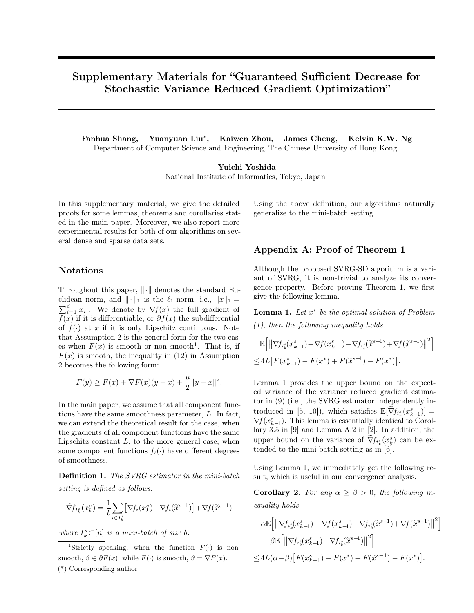# Supplementary Materials for "Guaranteed Sufficient Decrease for Stochastic Variance Reduced Gradient Optimization"

Fanhua Shang, Yuanyuan Liu*<sup>∗</sup>* , Kaiwen Zhou, James Cheng, Kelvin K.W. Ng Department of Computer Science and Engineering, The Chinese University of Hong Kong

> Yuichi Yoshida National Institute of Informatics, Tokyo, Japan

In this supplementary material, we give the detailed proofs for some lemmas, theorems and corollaries stated in the main paper. Moreover, we also report more experimental results for both of our algorithms on several dense and sparse data sets.

### Notations

Throughout this paper, *∥·∥* denotes the standard Euclidean norm, and  $\|\cdot\|_1$  is the  $\ell_1$ -norm, i.e.,  $\|x\|_1 =$  $\sum_{i=1}^{d} |x_i|$ . We denote by  $\nabla f(x)$  the full gradient of  $f(x)$  if it is differentiable, or  $\partial f(x)$  the subdifferential of  $f(\cdot)$  at *x* if it is only Lipschitz continuous. Note that Assumption 2 is the general form for the two cases when  $F(x)$  is smooth or non-smooth<sup>1</sup>. That is, if  $F(x)$  is smooth, the inequality in (12) in Assumption 2 becomes the following form:

$$
F(y) \ge F(x) + \nabla F(x)(y - x) + \frac{\mu}{2} \|y - x\|^2.
$$

In the main paper, we assume that all component functions have the same smoothness parameter, *L*. In fact, we can extend the theoretical result for the case, when the gradients of all component functions have the same Lipschitz constant *L*, to the more general case, when some component functions  $f_i(\cdot)$  have different degrees of smoothness.

Definition 1. *The SVRG estimator in the mini-batch setting is defined as follows:*

$$
\widetilde{\nabla} f_{I_k^s}(x_k^s) = \frac{1}{b} \sum_{i \in I_k^s} \left[ \nabla f_i(x_k^s) - \nabla f_i(\widetilde{x}^{s-1}) \right] + \nabla f(\widetilde{x}^{s-1})
$$

*where*  $I_k^s \subset [n]$  *is a mini-batch of size b.* 

<sup>1</sup>Strictly speaking, when the function  $F(\cdot)$  is nonsmooth,  $\vartheta \in \partial F(x)$ ; while  $F(\cdot)$  is smooth,  $\vartheta = \nabla F(x)$ . (\*) Corresponding author

Using the above definition, our algorithms naturally generalize to the mini-batch setting.

### Appendix A: Proof of Theorem 1

Although the proposed SVRG-SD algorithm is a variant of SVRG, it is non-trivial to analyze its convergence property. Before proving Theorem 1, we first give the following lemma.

Lemma 1. *Let x ∗ be the optimal solution of Problem (1), then the following inequality holds*

$$
\mathbb{E}\Big[\big\|\nabla f_{i_k^s}(x_{k-1}^s) - \nabla f(x_{k-1}^s) - \nabla f_{i_k^s}(\tilde{x}^{s-1}) + \nabla f(\tilde{x}^{s-1})\big\|^2\Big]\n\n\leq 4L\big[F(x_{k-1}^s) - F(x^*) + F(\tilde{x}^{s-1}) - F(x^*)\big].
$$

Lemma 1 provides the upper bound on the expected variance of the variance reduced gradient estimator in (9) (i.e., the SVRG estimator independently introduced in [5, 10]), which satisfies  $\mathbb{E}[\nabla f_{i_k^s}(x_{k-1}^s)] =$  $\nabla f(x_{k-1}^s)$ . This lemma is essentially identical to Corollary 3.5 in [9] and Lemma A.2 in [2]. In addition, the upper bound on the variance of  $\widetilde{\nabla} f_{i_k^s}(x_k^s)$  can be extended to the mini-batch setting as in [6].

Using Lemma 1, we immediately get the following result, which is useful in our convergence analysis.

**Corollary 2.** *For any*  $\alpha \geq \beta > 0$ *, the following inequality holds*

$$
\alpha \mathbb{E} \Big[ \left\| \nabla f_{i_k^s}(x_{k-1}^s) - \nabla f(x_{k-1}^s) - \nabla f_{i_k^s}(\tilde{x}^{s-1}) + \nabla f(\tilde{x}^{s-1}) \right\|^2 \Big] - \beta \mathbb{E} \Big[ \left\| \nabla f_{i_k^s}(x_{k-1}^s) - \nabla f_{i_k^s}(\tilde{x}^{s-1}) \right\|^2 \Big] \leq 4L(\alpha - \beta) \left[ F(x_{k-1}^s) - F(x^*) + F(\tilde{x}^{s-1}) - F(x^*) \right].
$$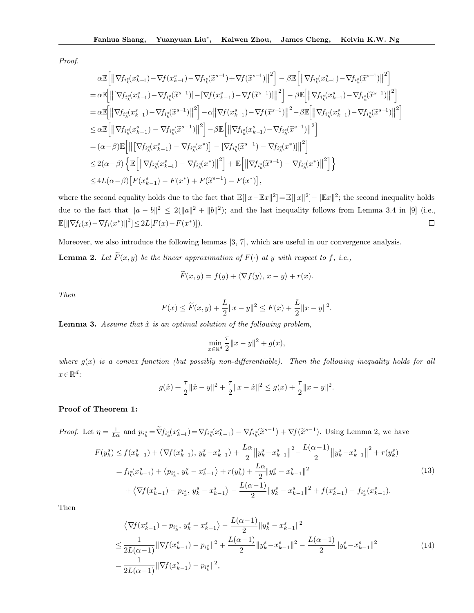*Proof.*

$$
\alpha \mathbb{E} \Big[ \|\nabla f_{i_k^s}(x_{k-1}^s) - \nabla f_{i_k^s}(\tilde{x}^{s-1}) + \nabla f(\tilde{x}^{s-1}) \|^2 \Big] - \beta \mathbb{E} \Big[ \|\nabla f_{i_k^s}(x_{k-1}^s) - \nabla f_{i_k^s}(\tilde{x}^{s-1}) \|^2 \Big] \n= \alpha \mathbb{E} \Big[ \big\| \big[ \nabla f_{i_k^s}(x_{k-1}^s) - \nabla f_{i_k^s}(\tilde{x}^{s-1}) \big] - \big[ \nabla f_{i_k^s}(-x_{k-1}^s) - \nabla f(\tilde{x}^{s-1}) \big] \|^2 \Big] - \beta \mathbb{E} \Big[ \big\| \nabla f_{i_k^s}(x_{k-1}^s) - \nabla f_{i_k^s}(\tilde{x}^{s-1}) \big\|^2 \Big] \n= \alpha \mathbb{E} \Big[ \big\| \nabla f_{i_k^s}(x_{k-1}^s) - \nabla f_{i_k^s}(\tilde{x}^{s-1}) \big\|^2 \Big] - \alpha \big\| \nabla f_{i_k^s}(-x_{k-1}^s) - \nabla f(\tilde{x}^{s-1}) \big\|^2 - \beta \mathbb{E} \Big[ \big\| \nabla f_{i_k^s}(x_{k-1}^s) - \nabla f_{i_k^s}(\tilde{x}^{s-1}) \big\|^2 \Big] \n\le \alpha \mathbb{E} \Big[ \big\| \nabla f_{i_k^s}(x_{k-1}^s) - \nabla f_{i_k^s}(\tilde{x}^{s-1}) \big\|^2 \Big] - \beta \mathbb{E} \Big[ \big\| \nabla f_{i_k^s}(x_{k-1}^s) - \nabla f_{i_k^s}(\tilde{x}^{s-1}) \big\|^2 \Big] \n= (\alpha - \beta) \mathbb{E} \Big[ \big\| \big[ \nabla f_{i_k^s}(x_{k-1}^s) - \nabla f_{i_k^s}(x^*) \big] - \big[ \nabla f_{i_k^s}(\tilde{x}^{s-1}) - \nabla f_{i_k^s}(x^*) \big] \big\|^2 \Big] <
$$

where the second equality holds due to the fact that E[*∥x−*E*x∥* 2 ]=E[*∥x∥* 2 ]*−∥*E*x∥* 2 ; the second inequality holds due to the fact that  $||a - b||^2 \leq 2(||a||^2 + ||b||^2)$ ; and the last inequality follows from Lemma 3.4 in [9] (i.e.,  $\mathbb{E}[\|\nabla f_i(x) - \nabla f_i(x^*)\|^2] \leq 2L[F(x) - F(x^*)]).$  $\Box$ 

Moreover, we also introduce the following lemmas [3, 7], which are useful in our convergence analysis.

**Lemma 2.** Let  $\widetilde{F}(x, y)$  be the linear approximation of  $F(\cdot)$  at y with respect to f, i.e.,

$$
\tilde{F}(x,y) = f(y) + \langle \nabla f(y), x - y \rangle + r(x).
$$

*Then*

$$
F(x) \le \widetilde{F}(x, y) + \frac{L}{2} ||x - y||^2 \le F(x) + \frac{L}{2} ||x - y||^2.
$$

**Lemma 3.** Assume that  $\hat{x}$  is an optimal solution of the following problem,

$$
\min_{x \in \mathbb{R}^d} \frac{\tau}{2} \|x - y\|^2 + g(x),
$$

*where g*(*x*) *is a convex function (but possibly non-differentiable). Then the following inequality holds for all x∈*R *d :*

$$
g(\hat{x}) + \frac{\tau}{2}\|\hat{x} - y\|^2 + \frac{\tau}{2}\|x - \hat{x}\|^2 \leq g(x) + \frac{\tau}{2}\|x - y\|^2.
$$

### Proof of Theorem 1:

Proof. Let 
$$
\eta = \frac{1}{L\alpha}
$$
 and  $p_{i_k^s} = \tilde{\nabla} f_{i_k^s}(x_{k-1}^s) = \nabla f_{i_k^s}(x_{k-1}^s) - \nabla f_{i_k^s}(\tilde{x}^{s-1}) + \nabla f(\tilde{x}^{s-1})$ . Using Lemma 2, we have  
\n
$$
F(y_k^s) \le f(x_{k-1}^s) + \langle \nabla f(x_{k-1}^s), y_k^s - x_{k-1}^s \rangle + \frac{L\alpha}{2} ||y_k^s - x_{k-1}^s||^2 - \frac{L(\alpha - 1)}{2} ||y_k^s - x_{k-1}^s||^2 + r(y_k^s)
$$
\n
$$
= f_{i_k^s}(x_{k-1}^s) + \langle p_{i_k^s}, y_k^s - x_{k-1}^s \rangle + r(y_k^s) + \frac{L\alpha}{2} ||y_k^s - x_{k-1}^s||^2
$$
\n
$$
+ \langle \nabla f(x_{k-1}^s) - p_{i_k^s}, y_k^s - x_{k-1}^s \rangle - \frac{L(\alpha - 1)}{2} ||y_k^s - x_{k-1}^s||^2 + f(x_{k-1}^s) - f_{i_k^s}(x_{k-1}^s).
$$
\n(13)

Then

$$
\langle \nabla f(x_{k-1}^{s}) - p_{i_{k}^{s}}, y_{k}^{s} - x_{k-1}^{s} \rangle - \frac{L(\alpha - 1)}{2} \| y_{k}^{s} - x_{k-1}^{s} \|^{2}
$$
  
\n
$$
\leq \frac{1}{2L(\alpha - 1)} \| \nabla f(x_{k-1}^{s}) - p_{i_{k}^{s}} \|^{2} + \frac{L(\alpha - 1)}{2} \| y_{k}^{s} - x_{k-1}^{s} \|^{2} - \frac{L(\alpha - 1)}{2} \| y_{k}^{s} - x_{k-1}^{s} \|^{2}
$$
  
\n
$$
= \frac{1}{2L(\alpha - 1)} \| \nabla f(x_{k-1}^{s}) - p_{i_{k}^{s}} \|^{2},
$$
\n(14)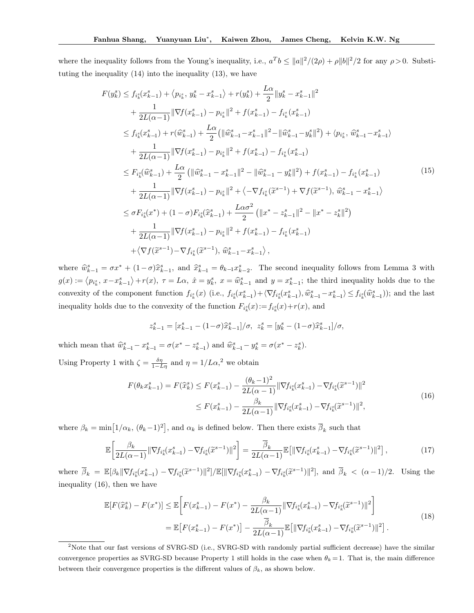where the inequality follows from the Young's inequality, i.e.,  $a^Tb \le ||a||^2/(2\rho) + \rho ||b||^2/2$  for any  $\rho > 0$ . Substituting the inequality (14) into the inequality (13), we have

$$
F(y_{k}^{s}) \le f_{i_{k}^{s}}(x_{k-1}^{s}) + \langle p_{i_{k}^{s}}, y_{k}^{s} - x_{k-1}^{s} \rangle + r(y_{k}^{s}) + \frac{L\alpha}{2} \| y_{k}^{s} - x_{k-1}^{s} \|^{2} + \frac{1}{2L(\alpha - 1)} \| \nabla f(x_{k-1}^{s}) - p_{i_{k}^{s}} \|^{2} + f(x_{k-1}^{s}) - f_{i_{k}^{s}}(x_{k-1}^{s}) \le f_{i_{k}^{s}}(x_{k-1}^{s}) + r(\widehat{w}_{k-1}^{s}) + \frac{L\alpha}{2} (\|\widehat{w}_{k-1}^{s} - x_{k-1}^{s} \|^{2} - \|\widehat{w}_{k-1}^{s} - y_{k}^{s} \|^{2}) + \langle p_{i_{k}^{s}}, \widehat{w}_{k-1}^{s} - x_{k-1}^{s} \rangle + \frac{1}{2L(\alpha - 1)} \| \nabla f(x_{k-1}^{s}) - p_{i_{k}^{s}} \|^{2} + f(x_{k-1}^{s}) - f_{i_{k}^{s}}(x_{k-1}^{s}) \le F_{i_{k}^{s}}(\widehat{w}_{k-1}^{s}) + \frac{L\alpha}{2} (\|\widehat{w}_{k-1}^{s} - x_{k-1}^{s} \|^{2} - \|\widehat{w}_{k-1}^{s} - y_{k}^{s} \|^{2}) + f(x_{k-1}^{s}) - f_{i_{k}^{s}}(x_{k-1}^{s}) + \frac{1}{2L(\alpha - 1)} \| \nabla f(x_{k-1}^{s}) - p_{i_{k}^{s}} \|^{2} + \langle -\nabla f_{i_{k}^{s}}(\widetilde{x}^{s-1}) + \nabla f(\widetilde{x}^{s-1}), \widehat{w}_{k-1}^{s} - x_{k-1}^{s} \rangle \le \sigma F_{i_{k}^{s}}(x^{*}) + (1 - \sigma) F_{i_{k}^{s}}(\widehat{x}_{k-1}^{s}) + \frac{L\alpha \sigma^{2}}{2} (\|x^{*} - z_{k-1}^{s} \|^{2} - \|x^{*} - z_{k}^{s} \|^{2}) + \frac{1}{2L(\alpha - 1)} \|\nabla f(x_{k-1}
$$

where  $\hat{w}_{k-1}^s = \sigma x^* + (1 - \sigma)\hat{x}_{k-1}^s$ , and  $\hat{x}_{k-1}^s = \theta_{k-1} x_{k-2}^s$ . The second inequality follows from Lemma 3 with  $g(x) := \langle p_{i_k^s}, x - x_{k-1}^s \rangle + r(x), \tau = L\alpha, \hat{x} = y_k^s, x = \hat{w}_{k-1}^s$  and  $y = x_{k-1}^s$ ; the third inequality holds due to the convexity of the component function  $f_{i_k^s}(x)$  (i.e.,  $f_{i_k^s}(x_{k-1}^s) + \langle \nabla f_{i_k^s}(x_{k-1}^s), \hat{w}_{k-1}^s - x_{k-1}^s \rangle \leq f_{i_k^s}(\hat{w}_{k-1}^s)$ ); and the last inequality holds due to the convexity of the function  $F_{i_k^s}(x) := f_{i_k^s}(x) + r(x)$ , and

$$
z_{k-1}^s = [x_{k-1}^s - (1-\sigma)\widehat{x}_{k-1}^s]/\sigma, \ \ z_k^s = [y_k^s - (1-\sigma)\widehat{x}_{k-1}^s]/\sigma,
$$

which mean that  $\hat{w}_{k-1}^s - x_{k-1}^s = \sigma(x^* - z_{k-1}^s)$  and  $\hat{w}_{k-1}^s - y_k^s = \sigma(x^* - z_k^s)$ .

Using Property 1 with  $\zeta = \frac{\delta \eta}{1 - L\eta}$  and  $\eta = 1/L\alpha$ ,<sup>2</sup> we obtain

$$
F(\theta_k x_{k-1}^s) = F(\hat{x}_k^s) \le F(x_{k-1}^s) - \frac{(\theta_k - 1)^2}{2L(\alpha - 1)} \|\nabla f_{i_k^s}(x_{k-1}^s) - \nabla f_{i_k^s}(\tilde{x}^{s-1})\|^2
$$
  

$$
\le F(x_{k-1}^s) - \frac{\beta_k}{2L(\alpha - 1)} \|\nabla f_{i_k^s}(x_{k-1}^s) - \nabla f_{i_k^s}(\tilde{x}^{s-1})\|^2,
$$
 (16)

where  $\beta_k = \min[1/\alpha_k, (\theta_k - 1)^2]$ , and  $\alpha_k$  is defined below. Then there exists  $\overline{\beta}_k$  such that

$$
\mathbb{E}\bigg[\frac{\beta_k}{2L(\alpha-1)}\|\nabla f_{i_k^s}(x_{k-1}^s) - \nabla f_{i_k^s}(\widetilde{x}^{s-1})\|^2\bigg] = \frac{\overline{\beta}_k}{2L(\alpha-1)} \mathbb{E}\big[\|\nabla f_{i_k^s}(x_{k-1}^s) - \nabla f_{i_k^s}(\widetilde{x}^{s-1})\|^2\big],\tag{17}
$$

where  $\overline{\beta}_k = \mathbb{E}[\beta_k || \nabla f_{i_k^s}(x_{k-1}^s) - \nabla f_{i_k^s}(\tilde{x}^{s-1})||^2] / \mathbb{E}[\|\nabla f_{i_k^s}(x_{k-1}^s) - \nabla f_{i_k^s}(\tilde{x}^{s-1})||^2],$  and  $\overline{\beta}_k < (\alpha - 1)/2$ . Using the inequality (16), then we have

$$
\mathbb{E}[F(\hat{x}_{k}^{s}) - F(x^{*})] \leq \mathbb{E}\left[F(x_{k-1}^{s}) - F(x^{*}) - \frac{\beta_{k}}{2L(\alpha-1)}\|\nabla f_{i_{k}^{s}}(x_{k-1}^{s}) - \nabla f_{i_{k}^{s}}(\tilde{x}^{s-1})\|^{2}\right]
$$
\n
$$
= \mathbb{E}\left[F(x_{k-1}^{s}) - F(x^{*})\right] - \frac{\overline{\beta}_{k}}{2L(\alpha-1)}\mathbb{E}\left[\|\nabla f_{i_{k}^{s}}(x_{k-1}^{s}) - \nabla f_{i_{k}^{s}}(\tilde{x}^{s-1})\|^{2}\right].
$$
\n(18)

<sup>&</sup>lt;sup>2</sup>Note that our fast versions of SVRG-SD (i.e., SVRG-SD with randomly partial sufficient decrease) have the similar convergence properties as SVRG-SD because Property 1 still holds in the case when  $\theta_k = 1$ . That is, the main difference between their convergence properties is the different values of  $\beta_k$ , as shown below.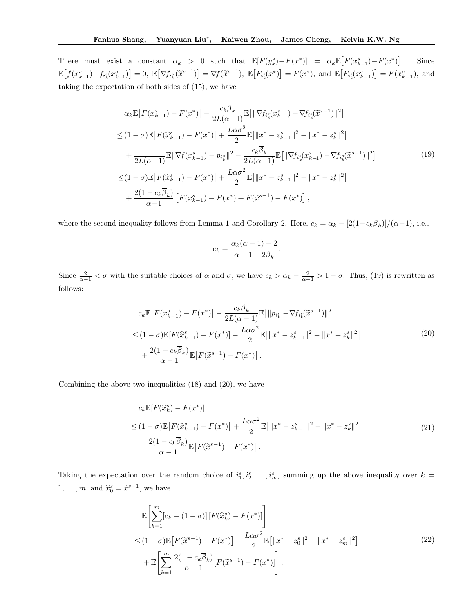There must exist a constant  $\alpha_k > 0$  such that  $\mathbb{E}[F(y_k^s) - F(x^*)] = \alpha_k \mathbb{E}[F(x_{k-1}^s) - F(x^*)]$ . Since  $\mathbb{E}\big[f(x_{k-1}^s) - f_{i_k^s}(x_{k-1}^s)\big] = 0, \ \mathbb{E}\big[\nabla f_{i_k^s}(\tilde{x}^{s-1})\big] = \nabla f(\tilde{x}^{s-1}), \ \mathbb{E}\big[F_{i_k^s}(x^*)\big] = F(x^*), \text{ and } \mathbb{E}\big[F_{i_k^s}(x_{k-1}^s)\big] = F(x_{k-1}^s), \text{ and } \mathbb{E}\big[F_{i_k^s}(x_{k-1}^s)\big] = 0.$ taking the expectation of both sides of (15), we have

$$
\alpha_{k} \mathbb{E}\left[F(x_{k-1}^{s}) - F(x^{*})\right] - \frac{c_{k}\overline{\beta}_{k}}{2L(\alpha-1)} \mathbb{E}\left[\|\nabla f_{i_{k}^{s}}(x_{k-1}^{s}) - \nabla f_{i_{k}^{s}}(\widetilde{x}^{s-1})\|^{2}\right]
$$
  
\n
$$
\leq (1-\sigma)\mathbb{E}\left[F(\widehat{x}_{k-1}^{s}) - F(x^{*})\right] + \frac{L\alpha\sigma^{2}}{2}\mathbb{E}\left[\|x^{*} - z_{k-1}^{s}\|^{2} - \|x^{*} - z_{k}^{s}\|^{2}\right]
$$
  
\n
$$
+ \frac{1}{2L(\alpha-1)}\mathbb{E}\|\nabla f(x_{k-1}^{s}) - p_{i_{k}^{s}}\|^{2} - \frac{c_{k}\overline{\beta}_{k}}{2L(\alpha-1)}\mathbb{E}\left[\|\nabla f_{i_{k}^{s}}(x_{k-1}^{s}) - \nabla f_{i_{k}^{s}}(\widetilde{x}^{s-1})\|^{2}\right]
$$
  
\n
$$
\leq (1-\sigma)\mathbb{E}\left[F(\widehat{x}_{k-1}^{s}) - F(x^{*})\right] + \frac{L\alpha\sigma^{2}}{2}\mathbb{E}\left[\|x^{*} - z_{k-1}^{s}\|^{2} - \|x^{*} - z_{k}^{s}\|^{2}\right]
$$
  
\n
$$
+ \frac{2(1-c_{k}\overline{\beta}_{k})}{\alpha-1}\left[F(x_{k-1}^{s}) - F(x^{*}) + F(\widetilde{x}^{s-1}) - F(x^{*})\right],
$$
\n(19)

where the second inequality follows from Lemma 1 and Corollary 2. Here,  $c_k = \alpha_k - [2(1 - c_k \beta_k)]/(\alpha - 1)$ , i.e.,

$$
c_k = \frac{\alpha_k(\alpha - 1) - 2}{\alpha - 1 - 2\overline{\beta}_k}.
$$

Since  $\frac{2}{\alpha - 1} < \sigma$  with the suitable choices of  $\alpha$  and  $\sigma$ , we have  $c_k > \alpha_k - \frac{2}{\alpha - 1} > 1 - \sigma$ . Thus, (19) is rewritten as follows:

$$
c_k \mathbb{E}\left[F(x_{k-1}^s) - F(x^*)\right] - \frac{c_k \overline{\beta}_k}{2L(\alpha - 1)} \mathbb{E}\left[\|p_{i_k^s} - \nabla f_{i_k^s}(\widetilde{x}^{s-1})\|^2\right]
$$
  
\n
$$
\leq (1 - \sigma) \mathbb{E}[F(\widehat{x}_{k-1}^s) - F(x^*)] + \frac{L\alpha \sigma^2}{2} \mathbb{E}\left[\|x^* - z_{k-1}^s\|^2 - \|x^* - z_k^s\|^2\right]
$$
  
\n
$$
+ \frac{2(1 - c_k \overline{\beta}_k)}{\alpha - 1} \mathbb{E}\left[F(\widetilde{x}^{s-1}) - F(x^*)\right].
$$
\n(20)

Combining the above two inequalities (18) and (20), we have

$$
c_k \mathbb{E}[F(\hat{x}_k^s) - F(x^*)]
$$
  
\n
$$
\leq (1 - \sigma) \mathbb{E}[F(\hat{x}_{k-1}^s) - F(x^*)] + \frac{L\alpha \sigma^2}{2} \mathbb{E}[\|x^* - z_{k-1}^s\|^2 - \|x^* - z_k^s\|^2]
$$
  
\n
$$
+ \frac{2(1 - c_k \overline{\beta}_k)}{\alpha - 1} \mathbb{E}[F(\tilde{x}^{s-1}) - F(x^*)].
$$
\n(21)

Taking the expectation over the random choice of  $i_1^s, i_2^s, \ldots, i_m^s$ , summing up the above inequality over  $k =$  $1, \ldots, m$ , and  $\hat{x}_0^s = \tilde{x}^{s-1}$ , we have

$$
\mathbb{E}\left[\sum_{k=1}^{m} [c_k - (1-\sigma)] \left[F(\hat{x}_k^s) - F(x^*)\right]\right]
$$
\n
$$
\leq (1-\sigma)\mathbb{E}\left[F(\tilde{x}^{s-1}) - F(x^*)\right] + \frac{L\alpha\sigma^2}{2}\mathbb{E}\left[\|x^* - z_0^s\|^2 - \|x^* - z_m^s\|^2\right]
$$
\n
$$
+ \mathbb{E}\left[\sum_{k=1}^{m} \frac{2(1-c_k\overline{\beta}_k)}{\alpha-1} [F(\tilde{x}^{s-1}) - F(x^*)]\right].
$$
\n(22)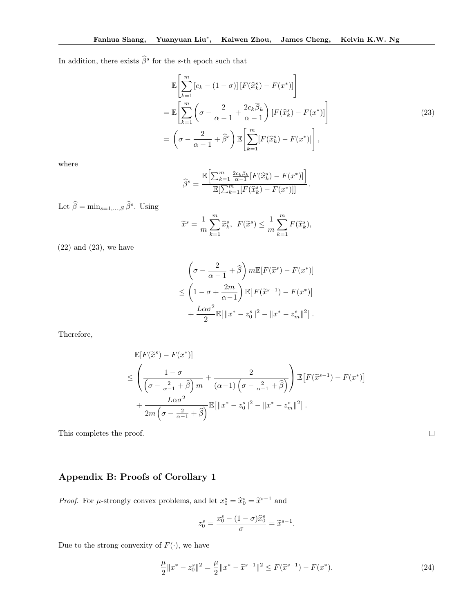In addition, there exists  $\widehat{\beta}^s$  for the *s*-th epoch such that

$$
\mathbb{E}\left[\sum_{k=1}^{m} \left[c_k - (1-\sigma)\right] \left[F(\hat{x}_k^s) - F(x^*)\right]\right]
$$
\n
$$
= \mathbb{E}\left[\sum_{k=1}^{m} \left(\sigma - \frac{2}{\alpha - 1} + \frac{2c_k \overline{\beta}_k}{\alpha - 1}\right) \left[F(\hat{x}_k^s) - F(x^*)\right]\right]
$$
\n
$$
= \left(\sigma - \frac{2}{\alpha - 1} + \widehat{\beta}^s\right) \mathbb{E}\left[\sum_{k=1}^{m} \left[F(\hat{x}_k^s) - F(x^*)\right]\right],
$$
\n(23)

where

$$
\widehat{\beta}^s = \frac{\mathbb{E}\Big[\sum_{k=1}^m \frac{2c_k\beta_k}{\alpha-1} [F(\widehat{x}_k^s) - F(x^*)] \Big]}{\mathbb{E}\big[\sum_{k=1}^m [F(\widehat{x}_k^s) - F(x^*)] \big]}.
$$

Let  $\hat{\beta} = \min_{s=1,\dots,S} \hat{\beta}^s$ . Using

$$
\widetilde{x}^s = \frac{1}{m} \sum_{k=1}^m \widehat{x}_k^s, \ F(\widetilde{x}^s) \le \frac{1}{m} \sum_{k=1}^m F(\widehat{x}_k^s),
$$

 $(22)$  and  $(23)$ , we have

$$
\left(\sigma - \frac{2}{\alpha - 1} + \widehat{\beta}\right) m \mathbb{E}[F(\widetilde{x}^s) - F(x^*)]
$$
  
\n
$$
\leq \left(1 - \sigma + \frac{2m}{\alpha - 1}\right) \mathbb{E}\left[F(\widetilde{x}^{s-1}) - F(x^*)\right]
$$
  
\n
$$
+ \frac{L\alpha \sigma^2}{2} \mathbb{E}\left[\|x^* - z_0^s\|^2 - \|x^* - z_m^s\|^2\right].
$$

Therefore,

$$
\mathbb{E}[F(\tilde{x}^s) - F(x^*)]
$$
\n
$$
\leq \left(\frac{1-\sigma}{\left(\sigma - \frac{2}{\alpha-1} + \hat{\beta}\right)m} + \frac{2}{(\alpha-1)\left(\sigma - \frac{2}{\alpha-1} + \hat{\beta}\right)}\right) \mathbb{E}\left[F(\tilde{x}^{s-1}) - F(x^*)\right]
$$
\n
$$
+ \frac{L\alpha\sigma^2}{2m\left(\sigma - \frac{2}{\alpha-1} + \hat{\beta}\right)} \mathbb{E}\left[\|x^* - z_0^s\|^2 - \|x^* - z_m^s\|^2\right].
$$

This completes the proof.

# Appendix B: Proofs of Corollary 1

*Proof.* For  $\mu$ -strongly convex problems, and let  $x_0^s = \hat{x}_0^s = \tilde{x}^{s-1}$  and

$$
z_0^s=\frac{x_0^s-(1-\sigma)\widehat{x}_0^s}{\sigma}=\widetilde{x}^{s-1}.
$$

Due to the strong convexity of  $F(\cdot)$ , we have

$$
\frac{\mu}{2} \|x^* - z_0^s\|^2 = \frac{\mu}{2} \|x^* - \tilde{x}^{s-1}\|^2 \le F(\tilde{x}^{s-1}) - F(x^*). \tag{24}
$$

 $\Box$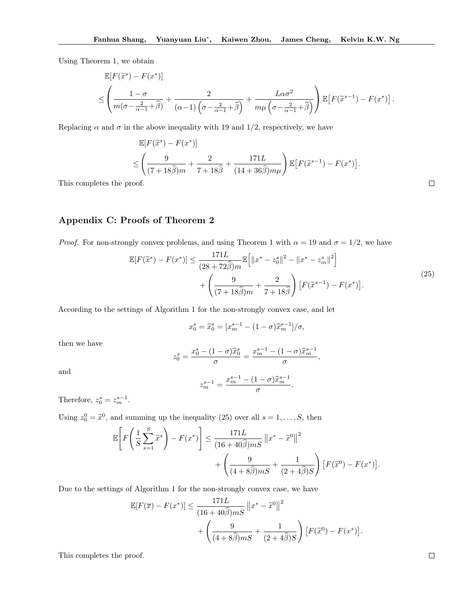Using Theorem 1, we obtain

$$
\mathbb{E}[F(\tilde{x}^s) - F(x^*)]
$$
\n
$$
\leq \left(\frac{1-\sigma}{m(\sigma - \frac{2}{\alpha-1} + \hat{\beta})} + \frac{2}{(\alpha-1)\left(\sigma - \frac{2}{\alpha-1} + \hat{\beta}\right)} + \frac{L\alpha\sigma^2}{m\mu\left(\sigma - \frac{2}{\alpha-1} + \hat{\beta}\right)}\right) \mathbb{E}\left[F(\tilde{x}^{s-1}) - F(x^*)\right].
$$

Replacing  $\alpha$  and  $\sigma$  in the above inequality with 19 and 1/2, respectively, we have

$$
\mathbb{E}[F(\tilde{x}^s) - F(x^*)]
$$
  
\n
$$
\leq \left(\frac{9}{(7+18\hat{\beta})m} + \frac{2}{7+18\hat{\beta}} + \frac{171L}{(14+36\hat{\beta})m\mu}\right) \mathbb{E}[F(\tilde{x}^{s-1}) - F(x^*)].
$$

This completes the proof.

### Appendix C: Proofs of Theorem 2

*Proof.* For non-strongly convex problems, and using Theorem 1 with  $\alpha = 19$  and  $\sigma = 1/2$ , we have

$$
\mathbb{E}[F(\tilde{x}^s) - F(x^*)] \le \frac{171L}{(28 + 72\hat{\beta})m} \mathbb{E}\Big[\|x^* - z_0^s\|^2 - \|x^* - z_m^s\|^2\Big] + \left(\frac{9}{(7 + 18\hat{\beta})m} + \frac{2}{7 + 18\hat{\beta}}\right) \left[F(\tilde{x}^{s-1}) - F(x^*)\right].
$$
\n(25)

According to the settings of Algorithm 1 for the non-strongly convex case, and let

$$
x_0^s = \hat{x}_0^s = [x_m^{s-1} - (1 - \sigma)\hat{x}_m^{s-1}]/\sigma,
$$

then we have

$$
z_0^s = \frac{x_0^s - (1 - \sigma)\hat{x}_0^s}{\sigma} = \frac{x_m^{s-1} - (1 - \sigma)\hat{x}_m^{s-1}}{\sigma},
$$

$$
x^{s-1} - (1 - \sigma)\hat{x}_0^{s-1}
$$

and

$$
z_m^{s-1} = \frac{x_m^{s-1} - (1 - \sigma)\hat{x}_m^{s-1}}{\sigma}.
$$

Therefore,  $z_0^s = z_m^{s-1}$ .

Using  $z_0^0 = \tilde{x}^0$ , and summing up the inequality (25) over all  $s = 1, \ldots, S$ , then

$$
\mathbb{E}\left[F\left(\frac{1}{S}\sum_{s=1}^{S}\widetilde{x}^{s}\right)-F(x^{*})\right] \leq \frac{171L}{(16+40\widehat{\beta})mS}\left\|x^{*}-\widetilde{x}^{0}\right\|^{2} + \left(\frac{9}{(4+8\widehat{\beta})mS}+\frac{1}{(2+4\widehat{\beta})S}\right)\left[F(\widetilde{x}^{0})-F(x^{*})\right].
$$

Due to the settings of Algorithm 1 for the non-strongly convex case, we have

$$
\mathbb{E}[F(\overline{x}) - F(x^*)] \le \frac{171L}{(16+40\widehat{\beta})mS} ||x^* - \widetilde{x}^0||^2
$$
  
+ 
$$
\left(\frac{9}{(4+8\widehat{\beta})mS} + \frac{1}{(2+4\widehat{\beta})S}\right) [F(\widetilde{x}^0) - F(x^*)].
$$

This completes the proof.

 $\Box$ 

 $\hfill \square$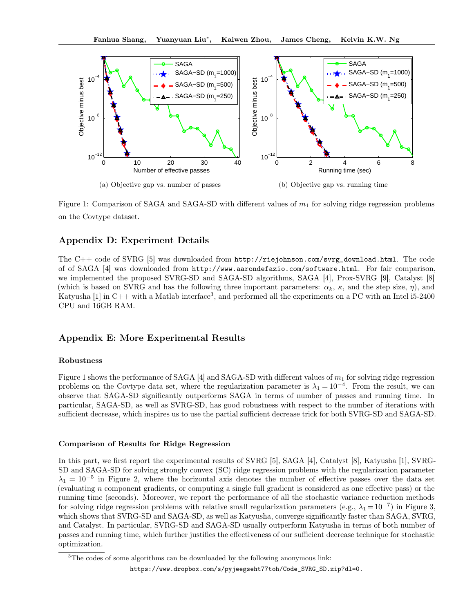

Figure 1: Comparison of SAGA and SAGA-SD with different values of  $m_1$  for solving ridge regression problems on the Covtype dataset.

# Appendix D: Experiment Details

The C++ code of SVRG [5] was downloaded from http://riejohnson.com/svrg\_download.html. The code of of SAGA [4] was downloaded from http://www.aarondefazio.com/software.html. For fair comparison, we implemented the proposed SVRG-SD and SAGA-SD algorithms, SAGA [4], Prox-SVRG [9], Catalyst [8] (which is based on SVRG and has the following three important parameters:  $\alpha_k$ ,  $\kappa$ , and the step size,  $\eta$ ), and Katyusha [1] in C++ with a Matlab interface<sup>3</sup>, and performed all the experiments on a PC with an Intel i5-2400 CPU and 16GB RAM.

## Appendix E: More Experimental Results

### Robustness

Figure 1 shows the performance of SAGA [4] and SAGA-SD with different values of *m*<sup>1</sup> for solving ridge regression problems on the Covtype data set, where the regularization parameter is  $\lambda_1 = 10^{-4}$ . From the result, we can observe that SAGA-SD significantly outperforms SAGA in terms of number of passes and running time. In particular, SAGA-SD, as well as SVRG-SD, has good robustness with respect to the number of iterations with sufficient decrease, which inspires us to use the partial sufficient decrease trick for both SVRG-SD and SAGA-SD.

#### Comparison of Results for Ridge Regression

In this part, we first report the experimental results of SVRG [5], SAGA [4], Catalyst [8], Katyusha [1], SVRG-SD and SAGA-SD for solving strongly convex (SC) ridge regression problems with the regularization parameter  $\lambda_1 = 10^{-5}$  in Figure 2, where the horizontal axis denotes the number of effective passes over the data set (evaluating *n* component gradients, or computing a single full gradient is considered as one effective pass) or the running time (seconds). Moreover, we report the performance of all the stochastic variance reduction methods for solving ridge regression problems with relative small regularization parameters (e.g.,  $\lambda_1 = 10^{-7}$ ) in Figure 3, which shows that SVRG-SD and SAGA-SD, as well as Katyusha, converge significantly faster than SAGA, SVRG, and Catalyst. In particular, SVRG-SD and SAGA-SD usually outperform Katyusha in terms of both number of passes and running time, which further justifies the effectiveness of our sufficient decrease technique for stochastic optimization.

<sup>&</sup>lt;sup>3</sup>The codes of some algorithms can be downloaded by the following anonymous link:

https://www.dropbox.com/s/pyjeegseht77toh/Code\_SVRG\_SD.zip?dl=0.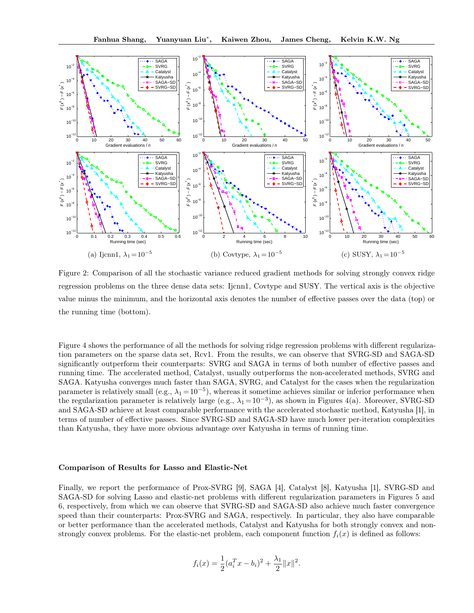

Figure 2: Comparison of all the stochastic variance reduced gradient methods for solving strongly convex ridge regression problems on the three dense data sets: Ijcnn1, Covtype and SUSY. The vertical axis is the objective value minus the minimum, and the horizontal axis denotes the number of effective passes over the data (top) or the running time (bottom).

Figure 4 shows the performance of all the methods for solving ridge regression problems with different regularization parameters on the sparse data set, Rcv1. From the results, we can observe that SVRG-SD and SAGA-SD significantly outperform their counterparts: SVRG and SAGA in terms of both number of effective passes and running time. The accelerated method, Catalyst, usually outperforms the non-accelerated methods, SVRG and SAGA. Katyusha converges much faster than SAGA, SVRG, and Catalyst for the cases when the regularization parameter is relatively small (e.g.,  $\lambda_1 = 10^{-5}$ ), whereas it sometime achieves similar or inferior performance when the regularization parameter is relatively large (e.g.,  $\lambda_1 = 10^{-3}$ ), as shown in Figures 4(a). Moreover, SVRG-SD and SAGA-SD achieve at least comparable performance with the accelerated stochastic method, Katyusha [1], in terms of number of effective passes. Since SVRG-SD and SAGA-SD have much lower per-iteration complexities than Katyusha, they have more obvious advantage over Katyusha in terms of running time.

#### Comparison of Results for Lasso and Elastic-Net

Finally, we report the performance of Prox-SVRG [9], SAGA [4], Catalyst [8], Katyusha [1], SVRG-SD and SAGA-SD for solving Lasso and elastic-net problems with different regularization parameters in Figures 5 and 6, respectively, from which we can observe that SVRG-SD and SAGA-SD also achieve much faster convergence speed than their counterparts: Prox-SVRG and SAGA, respectively. In particular, they also have comparable or better performance than the accelerated methods, Catalyst and Katyusha for both strongly convex and nonstrongly convex problems. For the elastic-net problem, each component function  $f_i(x)$  is defined as follows:

$$
f_i(x) = \frac{1}{2}(a_i^T x - b_i)^2 + \frac{\lambda_1}{2} ||x||^2.
$$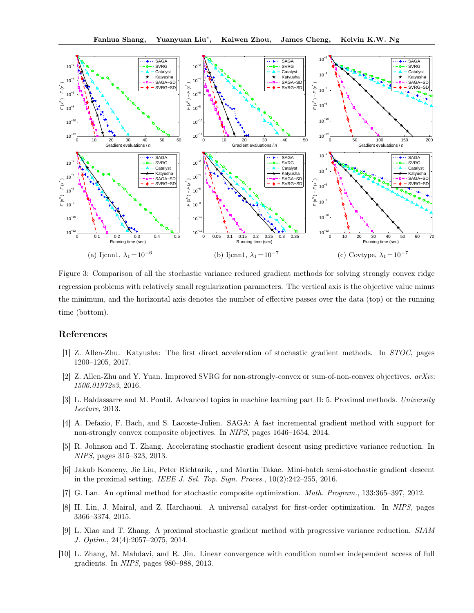

Figure 3: Comparison of all the stochastic variance reduced gradient methods for solving strongly convex ridge regression problems with relatively small regularization parameters. The vertical axis is the objective value minus the minimum, and the horizontal axis denotes the number of effective passes over the data (top) or the running time (bottom).

#### References

- [1] Z. Allen-Zhu. Katyusha: The first direct acceleration of stochastic gradient methods. In *STOC*, pages 1200–1205, 2017.
- [2] Z. Allen-Zhu and Y. Yuan. Improved SVRG for non-strongly-convex or sum-of-non-convex objectives. *arXiv: 1506.01972v3*, 2016.
- [3] L. Baldassarre and M. Pontil. Advanced topics in machine learning part II: 5. Proximal methods. *University Lecture*, 2013.
- [4] A. Defazio, F. Bach, and S. Lacoste-Julien. SAGA: A fast incremental gradient method with support for non-strongly convex composite objectives. In *NIPS*, pages 1646–1654, 2014.
- [5] R. Johnson and T. Zhang. Accelerating stochastic gradient descent using predictive variance reduction. In *NIPS*, pages 315–323, 2013.
- [6] Jakub Koneeny, Jie Liu, Peter Richtarik, , and Martin Takae. Mini-batch semi-stochastic gradient descent in the proximal setting. *IEEE J. Sel. Top. Sign. Proces.*, 10(2):242–255, 2016.
- [7] G. Lan. An optimal method for stochastic composite optimization. *Math. Program.*, 133:365–397, 2012.
- [8] H. Lin, J. Mairal, and Z. Harchaoui. A universal catalyst for first-order optimization. In *NIPS*, pages 3366–3374, 2015.
- [9] L. Xiao and T. Zhang. A proximal stochastic gradient method with progressive variance reduction. *SIAM J. Optim.*, 24(4):2057–2075, 2014.
- [10] L. Zhang, M. Mahdavi, and R. Jin. Linear convergence with condition number independent access of full gradients. In *NIPS*, pages 980–988, 2013.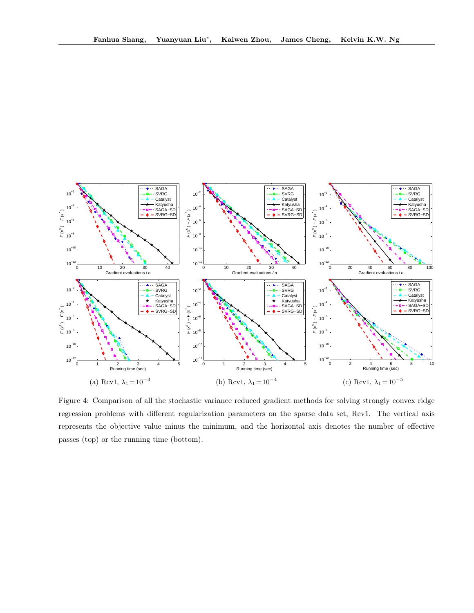

Figure 4: Comparison of all the stochastic variance reduced gradient methods for solving strongly convex ridge regression problems with different regularization parameters on the sparse data set, Rcv1. The vertical axis represents the objective value minus the minimum, and the horizontal axis denotes the number of effective passes (top) or the running time (bottom).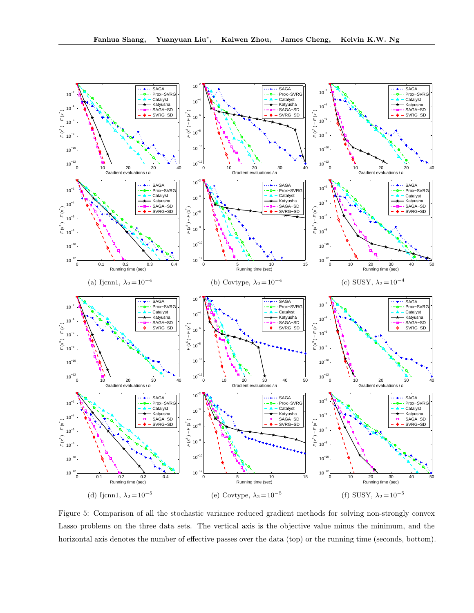

Figure 5: Comparison of all the stochastic variance reduced gradient methods for solving non-strongly convex Lasso problems on the three data sets. The vertical axis is the objective value minus the minimum, and the horizontal axis denotes the number of effective passes over the data (top) or the running time (seconds, bottom).